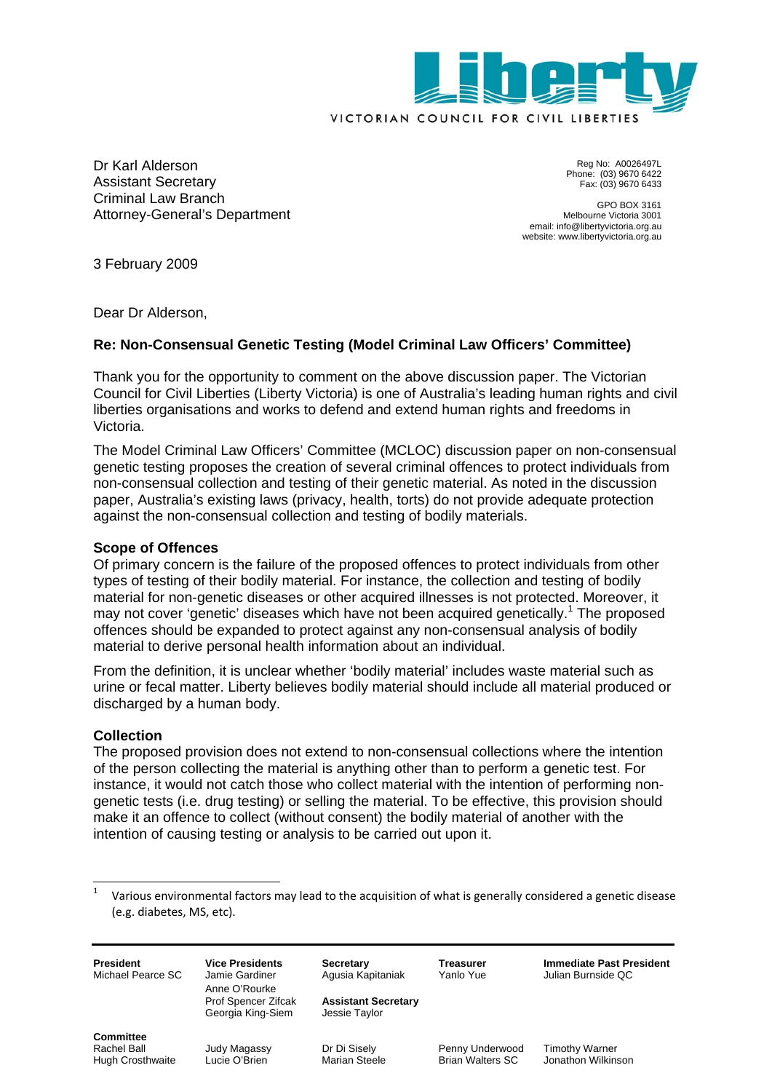

Dr Karl Alderson Assistant Secretary Criminal Law Branch Attorney-General's Department

Reg No: A0026497L Phone: (03) 9670 6422 Fax: (03) 9670 6433

GPO BOX 3161 Melbourne Victoria 3001 email: info@libertyvictoria.org.au website: www.libertyvictoria.org.au

3 February 2009

Dear Dr Alderson,

# **Re: Non-Consensual Genetic Testing (Model Criminal Law Officers' Committee)**

Thank you for the opportunity to comment on the above discussion paper. The Victorian Council for Civil Liberties (Liberty Victoria) is one of Australia's leading human rights and civil liberties organisations and works to defend and extend human rights and freedoms in Victoria.

The Model Criminal Law Officers' Committee (MCLOC) discussion paper on non-consensual genetic testing proposes the creation of several criminal offences to protect individuals from non-consensual collection and testing of their genetic material. As noted in the discussion paper, Australia's existing laws (privacy, health, torts) do not provide adequate protection against the non-consensual collection and testing of bodily materials.

### **Scope of Offences**

Of primary concern is the failure of the proposed offences to protect individuals from other types of testing of their bodily material. For instance, the collection and testing of bodily material for non-genetic diseases or other acquired illnesses is not protected. Moreover, it may not cover 'genetic' diseases which have not been acquired genetically.<sup>1</sup> The proposed offences should be expanded to protect against any non-consensual analysis of bodily material to derive personal health information about an individual.

From the definition, it is unclear whether 'bodily material' includes waste material such as urine or fecal matter. Liberty believes bodily material should include all material produced or discharged by a human body.

# **Collection**

1

The proposed provision does not extend to non-consensual collections where the intention of the person collecting the material is anything other than to perform a genetic test. For instance, it would not catch those who collect material with the intention of performing nongenetic tests (i.e. drug testing) or selling the material. To be effective, this provision should make it an offence to collect (without consent) the bodily material of another with the intention of causing testing or analysis to be carried out upon it.

<sup>1</sup> Various environmental factors may lead to the acquisition of what is generally considered a genetic disease (e.g. diabetes, MS, etc).

| <b>President</b><br>Michael Pearce SC                      | <b>Vice Presidents</b><br>Jamie Gardiner<br>Anne O'Rourke<br>Prof Spencer Zifcak<br>Georgia King-Siem | <b>Secretary</b><br>Agusia Kapitaniak<br><b>Assistant Secretary</b><br>Jessie Taylor | Treasurer<br>Yanlo Yue                     | <b>Immediate Past President</b><br>Julian Burnside QC |
|------------------------------------------------------------|-------------------------------------------------------------------------------------------------------|--------------------------------------------------------------------------------------|--------------------------------------------|-------------------------------------------------------|
| <b>Committee</b><br>Rachel Ball<br><b>Hugh Crosthwaite</b> | Judy Magassy<br>Lucie O'Brien                                                                         | Dr Di Sisely<br>Marian Steele                                                        | Penny Underwood<br><b>Brian Walters SC</b> | <b>Timothy Warner</b><br>Jonathon Wilkinson           |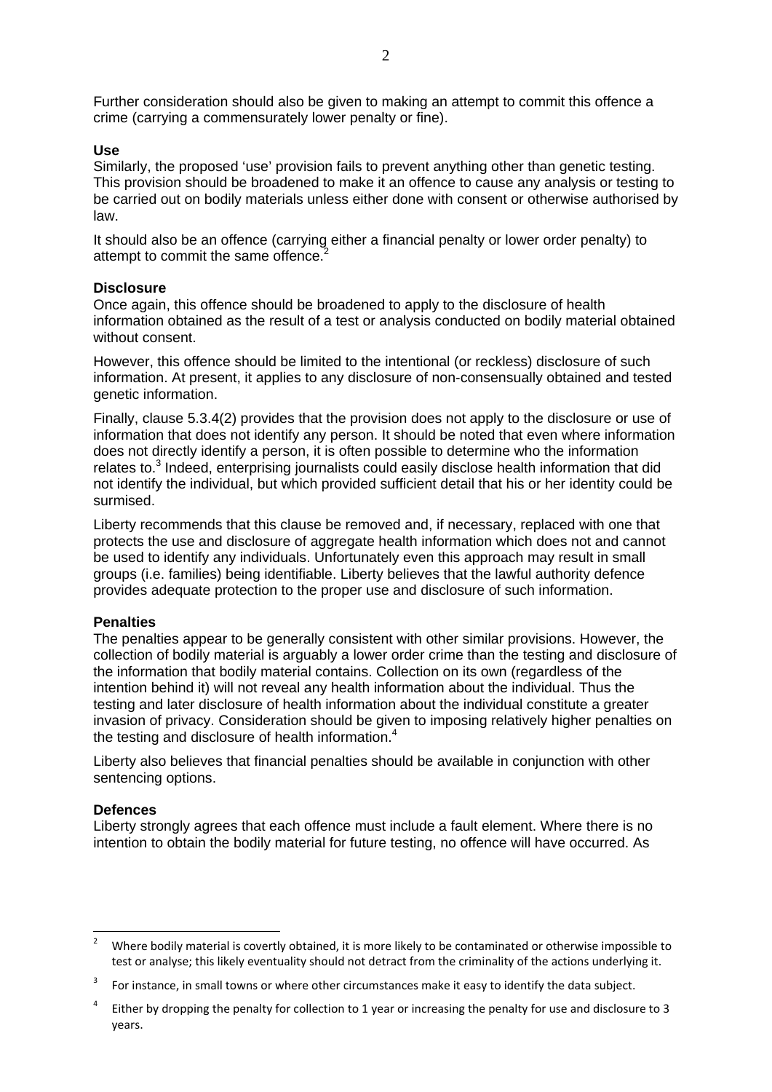Further consideration should also be given to making an attempt to commit this offence a crime (carrying a commensurately lower penalty or fine).

### **Use**

Similarly, the proposed 'use' provision fails to prevent anything other than genetic testing. This provision should be broadened to make it an offence to cause any analysis or testing to be carried out on bodily materials unless either done with consent or otherwise authorised by law.

It should also be an offence (carrying either a financial penalty or lower order penalty) to attempt to commit the same offence.<sup>2</sup>

### **Disclosure**

Once again, this offence should be broadened to apply to the disclosure of health information obtained as the result of a test or analysis conducted on bodily material obtained without consent.

However, this offence should be limited to the intentional (or reckless) disclosure of such information. At present, it applies to any disclosure of non-consensually obtained and tested genetic information.

Finally, clause 5.3.4(2) provides that the provision does not apply to the disclosure or use of information that does not identify any person. It should be noted that even where information does not directly identify a person, it is often possible to determine who the information relates to.<sup>3</sup> Indeed, enterprising journalists could easily disclose health information that did not identify the individual, but which provided sufficient detail that his or her identity could be surmised.

Liberty recommends that this clause be removed and, if necessary, replaced with one that protects the use and disclosure of aggregate health information which does not and cannot be used to identify any individuals. Unfortunately even this approach may result in small groups (i.e. families) being identifiable. Liberty believes that the lawful authority defence provides adequate protection to the proper use and disclosure of such information.

#### **Penalties**

The penalties appear to be generally consistent with other similar provisions. However, the collection of bodily material is arguably a lower order crime than the testing and disclosure of the information that bodily material contains. Collection on its own (regardless of the intention behind it) will not reveal any health information about the individual. Thus the testing and later disclosure of health information about the individual constitute a greater invasion of privacy. Consideration should be given to imposing relatively higher penalties on the testing and disclosure of health information. $4$ 

Liberty also believes that financial penalties should be available in conjunction with other sentencing options.

#### **Defences**

-

Liberty strongly agrees that each offence must include a fault element. Where there is no intention to obtain the bodily material for future testing, no offence will have occurred. As

<sup>2</sup> Where bodily material is covertly obtained, it is more likely to be contaminated or otherwise impossible to test or analyse; this likely eventuality should not detract from the criminality of the actions underlying it.

<sup>3</sup> For instance, in small towns or where other circumstances make it easy to identify the data subject.

<sup>4</sup> Either by dropping the penalty for collection to 1 year or increasing the penalty for use and disclosure to 3 years.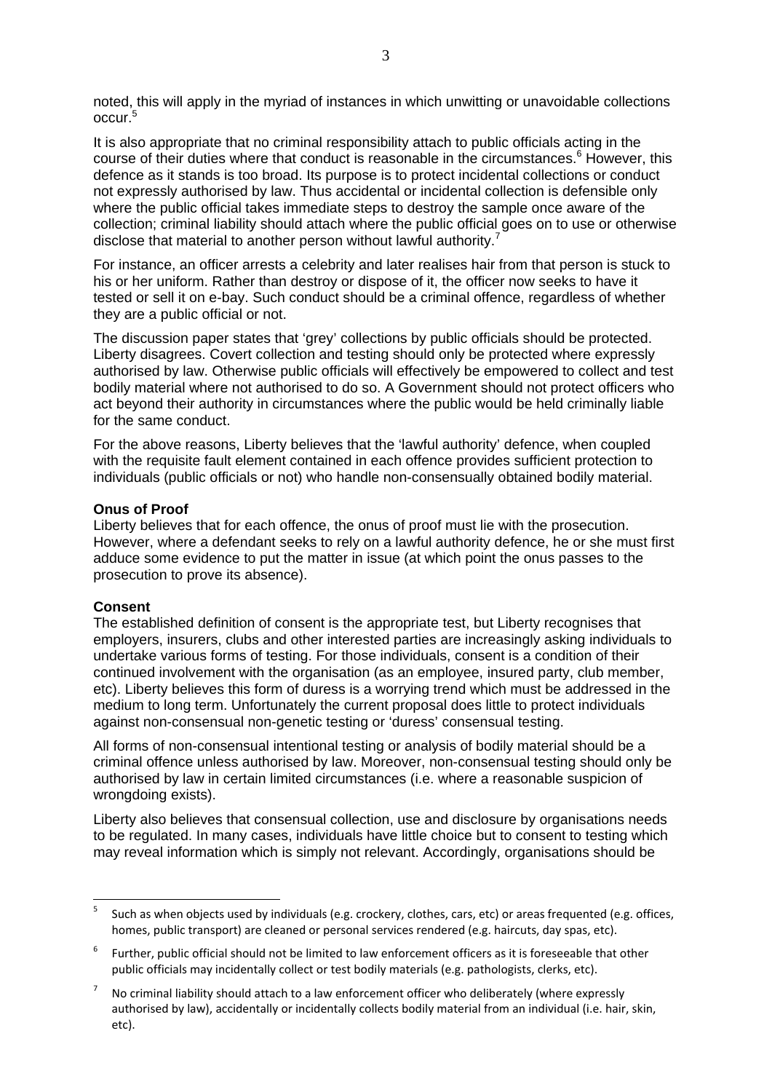noted, this will apply in the myriad of instances in which unwitting or unavoidable collections occur.<sup>5</sup>

It is also appropriate that no criminal responsibility attach to public officials acting in the course of their duties where that conduct is reasonable in the circumstances.<sup>6</sup> However, this defence as it stands is too broad. Its purpose is to protect incidental collections or conduct not expressly authorised by law. Thus accidental or incidental collection is defensible only where the public official takes immediate steps to destroy the sample once aware of the collection; criminal liability should attach where the public official goes on to use or otherwise disclose that material to another person without lawful authority.<sup>7</sup>

For instance, an officer arrests a celebrity and later realises hair from that person is stuck to his or her uniform. Rather than destroy or dispose of it, the officer now seeks to have it tested or sell it on e-bay. Such conduct should be a criminal offence, regardless of whether they are a public official or not.

The discussion paper states that 'grey' collections by public officials should be protected. Liberty disagrees. Covert collection and testing should only be protected where expressly authorised by law. Otherwise public officials will effectively be empowered to collect and test bodily material where not authorised to do so. A Government should not protect officers who act beyond their authority in circumstances where the public would be held criminally liable for the same conduct.

For the above reasons, Liberty believes that the 'lawful authority' defence, when coupled with the requisite fault element contained in each offence provides sufficient protection to individuals (public officials or not) who handle non-consensually obtained bodily material.

#### **Onus of Proof**

Liberty believes that for each offence, the onus of proof must lie with the prosecution. However, where a defendant seeks to rely on a lawful authority defence, he or she must first adduce some evidence to put the matter in issue (at which point the onus passes to the prosecution to prove its absence).

# **Consent**

 $\overline{a}$ 

The established definition of consent is the appropriate test, but Liberty recognises that employers, insurers, clubs and other interested parties are increasingly asking individuals to undertake various forms of testing. For those individuals, consent is a condition of their continued involvement with the organisation (as an employee, insured party, club member, etc). Liberty believes this form of duress is a worrying trend which must be addressed in the medium to long term. Unfortunately the current proposal does little to protect individuals against non-consensual non-genetic testing or 'duress' consensual testing.

All forms of non-consensual intentional testing or analysis of bodily material should be a criminal offence unless authorised by law. Moreover, non-consensual testing should only be authorised by law in certain limited circumstances (i.e. where a reasonable suspicion of wrongdoing exists).

Liberty also believes that consensual collection, use and disclosure by organisations needs to be regulated. In many cases, individuals have little choice but to consent to testing which may reveal information which is simply not relevant. Accordingly, organisations should be

<sup>5</sup> Such as when objects used by individuals (e.g. crockery, clothes, cars, etc) or areas frequented (e.g. offices, homes, public transport) are cleaned or personal services rendered (e.g. haircuts, day spas, etc).

<sup>6</sup> Further, public official should not be limited to law enforcement officers as it is foreseeable that other public officials may incidentally collect or test bodily materials (e.g. pathologists, clerks, etc).

<sup>7</sup> No criminal liability should attach to a law enforcement officer who deliberately (where expressly authorised by law), accidentally or incidentally collects bodily material from an individual (i.e. hair, skin, etc).